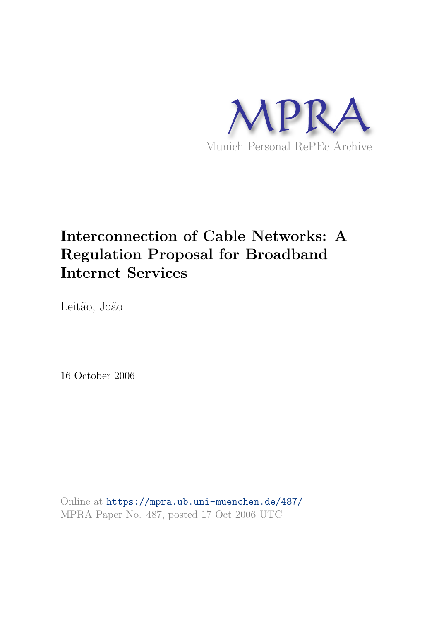

# **Interconnection of Cable Networks: A Regulation Proposal for Broadband Internet Services**

Leitão, João

16 October 2006

Online at https://mpra.ub.uni-muenchen.de/487/ MPRA Paper No. 487, posted 17 Oct 2006 UTC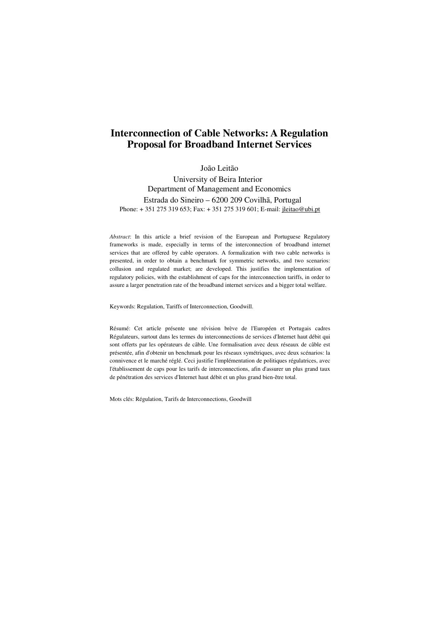## **Interconnection of Cable Networks: A Regulation Proposal for Broadband Internet Services**

João Leitão

University of Beira Interior Department of Management and Economics Estrada do Sineiro – 6200 209 Covilhã, Portugal Phone: + 351 275 319 653; Fax: + 351 275 319 601; E-mail: jleitao@ubi.pt

*Abstract*: In this article a brief revision of the European and Portuguese Regulatory frameworks is made, especially in terms of the interconnection of broadband internet services that are offered by cable operators. A formalization with two cable networks is presented, in order to obtain a benchmark for symmetric networks, and two scenarios: collusion and regulated market; are developed. This justifies the implementation of regulatory policies, with the establishment of caps for the interconnection tariffs, in order to assure a larger penetration rate of the broadband internet services and a bigger total welfare.

Keywords: Regulation, Tariffs of Interconnection, Goodwill.

Résumé: Cet article présente une révision brève de l'Européen et Portugais cadres Régulateurs, surtout dans les termes du interconnections de services d'Internet haut débit qui sont offerts par les opérateurs de câble. Une formalisation avec deux réseaux de câble est présentée, afin d'obtenir un benchmark pour les réseaux symétriques, avec deux scénarios: la connivence et le marché réglé. Ceci justifie l'implémentation de politiques régulatrices, avec l'établissement de caps pour les tarifs de interconnections, afin d'assurer un plus grand taux de pénétration des services d'Internet haut débit et un plus grand bien-être total.

Mots clés: Régulation, Tarifs de Interconnections, Goodwill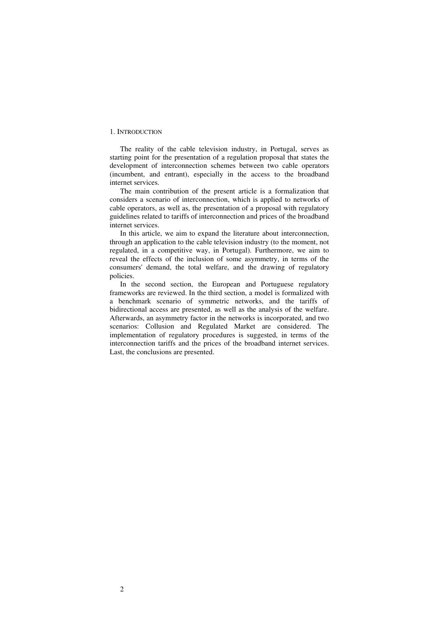## 1. INTRODUCTION

The reality of the cable television industry, in Portugal, serves as starting point for the presentation of a regulation proposal that states the development of interconnection schemes between two cable operators (incumbent, and entrant), especially in the access to the broadband internet services.

The main contribution of the present article is a formalization that considers a scenario of interconnection, which is applied to networks of cable operators, as well as, the presentation of a proposal with regulatory guidelines related to tariffs of interconnection and prices of the broadband internet services.

In this article, we aim to expand the literature about interconnection, through an application to the cable television industry (to the moment, not regulated, in a competitive way, in Portugal). Furthermore, we aim to reveal the effects of the inclusion of some asymmetry, in terms of the consumers' demand, the total welfare, and the drawing of regulatory policies.

In the second section, the European and Portuguese regulatory frameworks are reviewed. In the third section, a model is formalized with a benchmark scenario of symmetric networks, and the tariffs of bidirectional access are presented, as well as the analysis of the welfare. Afterwards, an asymmetry factor in the networks is incorporated, and two scenarios: Collusion and Regulated Market are considered. The implementation of regulatory procedures is suggested, in terms of the interconnection tariffs and the prices of the broadband internet services. Last, the conclusions are presented.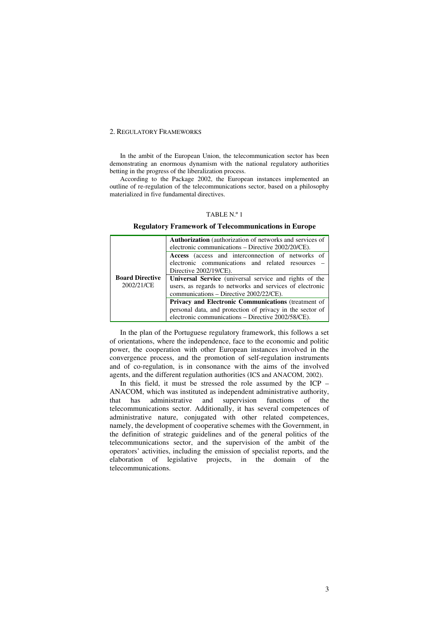## 2. REGULATORY FRAMEWORKS

In the ambit of the European Union, the telecommunication sector has been demonstrating an enormous dynamism with the national regulatory authorities betting in the progress of the liberalization process.

According to the Package 2002, the European instances implemented an outline of re-regulation of the telecommunications sector, based on a philosophy materialized in five fundamental directives.

## TABLE N.º 1

#### **Regulatory Framework of Telecommunications in Europe**

| <b>Board Directive</b><br>2002/21/CE | <b>Authorization</b> (authorization of networks and services of<br>electronic communications – Directive 2002/20/CE).                                         |
|--------------------------------------|---------------------------------------------------------------------------------------------------------------------------------------------------------------|
|                                      | Access (access and interconnection of networks of<br>electronic communications and related resources –<br>Directive 2002/19/CE).                              |
|                                      | Universal Service (universal service and rights of the<br>users, as regards to networks and services of electronic<br>communications – Directive 2002/22/CE). |
|                                      | Privacy and Electronic Communications (treatment of                                                                                                           |
|                                      | personal data, and protection of privacy in the sector of<br>electronic communications – Directive 2002/58/CE).                                               |

In the plan of the Portuguese regulatory framework, this follows a set of orientations, where the independence, face to the economic and politic power, the cooperation with other European instances involved in the convergence process, and the promotion of self-regulation instruments and of co-regulation, is in consonance with the aims of the involved agents, and the different regulation authorities (ICS and ANACOM, 2002).

In this field, it must be stressed the role assumed by the ICP – ANACOM, which was instituted as independent administrative authority, that has administrative and supervision functions of the telecommunications sector. Additionally, it has several competences of administrative nature, conjugated with other related competences, namely, the development of cooperative schemes with the Government, in the definition of strategic guidelines and of the general politics of the telecommunications sector, and the supervision of the ambit of the operators' activities, including the emission of specialist reports, and the elaboration of legislative projects, in the domain of the telecommunications.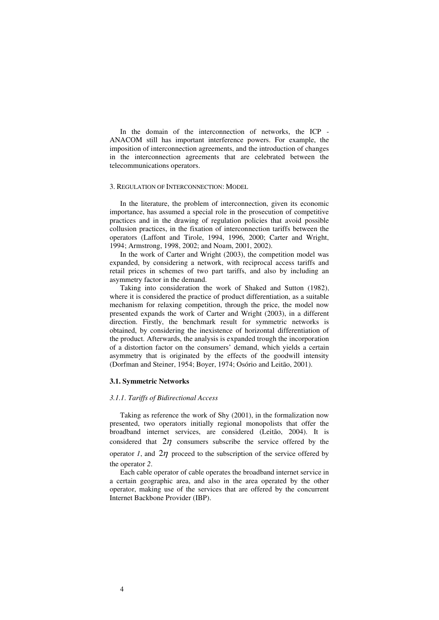In the domain of the interconnection of networks, the ICP - ANACOM still has important interference powers. For example, the imposition of interconnection agreements, and the introduction of changes in the interconnection agreements that are celebrated between the telecommunications operators.

## 3. REGULATION OF INTERCONNECTION: MODEL

In the literature, the problem of interconnection, given its economic importance, has assumed a special role in the prosecution of competitive practices and in the drawing of regulation policies that avoid possible collusion practices, in the fixation of interconnection tariffs between the operators (Laffont and Tirole, 1994, 1996, 2000; Carter and Wright, 1994; Armstrong, 1998, 2002; and Noam, 2001, 2002).

In the work of Carter and Wright (2003), the competition model was expanded, by considering a network, with reciprocal access tariffs and retail prices in schemes of two part tariffs, and also by including an asymmetry factor in the demand.

Taking into consideration the work of Shaked and Sutton (1982), where it is considered the practice of product differentiation, as a suitable mechanism for relaxing competition, through the price, the model now presented expands the work of Carter and Wright (2003), in a different direction. Firstly, the benchmark result for symmetric networks is obtained, by considering the inexistence of horizontal differentiation of the product. Afterwards, the analysis is expanded trough the incorporation of a distortion factor on the consumers' demand, which yields a certain asymmetry that is originated by the effects of the goodwill intensity (Dorfman and Steiner, 1954; Boyer, 1974; Osório and Leitão, 2001).

## **3.1. Symmetric Networks**

#### *3.1.1. Tariffs of Bidirectional Access*

Taking as reference the work of Shy (2001), in the formalization now presented, two operators initially regional monopolists that offer the broadband internet services, are considered (Leitão, 2004). It is considered that  $2\eta$  consumers subscribe the service offered by the operator *1*, and  $2\eta$  proceed to the subscription of the service offered by the operator *2*.

Each cable operator of cable operates the broadband internet service in a certain geographic area, and also in the area operated by the other operator, making use of the services that are offered by the concurrent Internet Backbone Provider (IBP).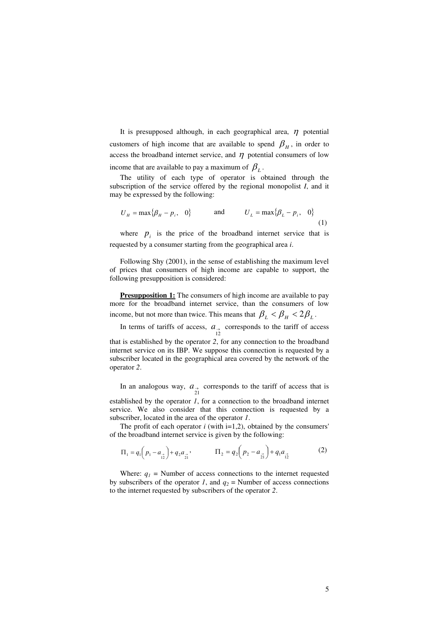It is presupposed although, in each geographical area,  $\eta$  potential customers of high income that are available to spend  $\beta_H$ , in order to access the broadband internet service, and  $\eta$  potential consumers of low income that are available to pay a maximum of  $\beta_L$ .

The utility of each type of operator is obtained through the subscription of the service offered by the regional monopolist *I*, and it may be expressed by the following:

$$
U_H = \max\{\beta_H - p_i, \quad 0\} \qquad \text{and} \qquad U_L = \max\{\beta_L - p_i, \quad 0\} \tag{1}
$$

where  $p_i$  is the price of the broadband internet service that is requested by a consumer starting from the geographical area *i*.

Following Shy (2001), in the sense of establishing the maximum level of prices that consumers of high income are capable to support, the following presupposition is considered:

**Presupposition 1:** The consumers of high income are available to pay more for the broadband internet service, than the consumers of low income, but not more than twice. This means that  $\beta_L < \beta_H < 2\beta_L$ .

In terms of tariffs of access,  $a_{\text{A}}$  corresponds to the tariff of access that is established by the operator *2*, for any connection to the broadband internet service on its IBP. We suppose this connection is requested by a subscriber located in the geographical area covered by the network of the operator *2*.

In an analogous way,  $a_{\text{at}}$  corresponds to the tariff of access that is established by the operator *1*, for a connection to the broadband internet

service. We also consider that this connection is requested by a subscriber, located in the area of the operator *1*.

The profit of each operator  $i$  (with  $i=1,2$ ), obtained by the consumers' of the broadband internet service is given by the following:

$$
\Pi_1 = q_1 \left( p_1 - a_{\frac{3}{12}} \right) + q_2 a_{\frac{3}{21}}, \qquad \Pi_2 = q_2 \left( p_2 - a_{\frac{3}{21}} \right) + q_1 a_{\frac{3}{12}} \tag{2}
$$

Where:  $q_1$  = Number of access connections to the internet requested by subscribers of the operator *1*, and  $q_2$  = Number of access connections to the internet requested by subscribers of the operator *2*.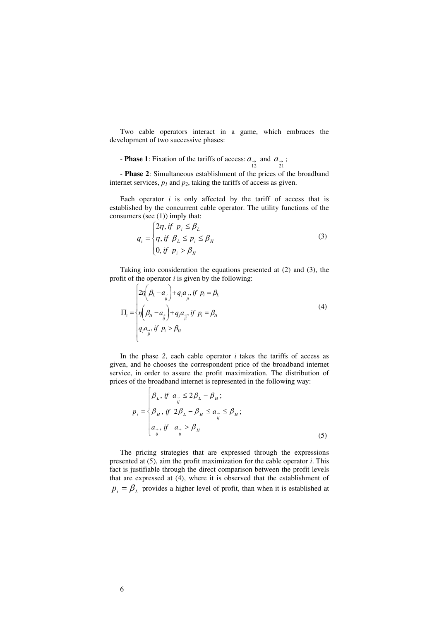Two cable operators interact in a game, which embraces the development of two successive phases:

**Phase 1**: Fixation of the tariffs of access:  $a_{\text{A}}$  and  $a_{\text{B}}$ ;  $a_{\text{C}}$ 

- **Phase 2**: Simultaneous establishment of the prices of the broadband internet services,  $p_1$  and  $p_2$ , taking the tariffs of access as given.

Each operator  $i$  is only affected by the tariff of access that is established by the concurrent cable operator. The utility functions of the consumers (see (1)) imply that:

$$
q_i = \begin{cases} 2\eta, if \ p_i \le \beta_L \\ \eta, if \ \beta_L \le p_i \le \beta_H \\ 0, if \ p_i > \beta_H \end{cases}
$$
 (3)

Taking into consideration the equations presented at (2) and (3), the profit of the operator *i* is given by the following:

$$
\Pi_{i} = \begin{cases} 2\eta \left(\beta_{L} - a_{\frac{1}{ij}}\right) + q_{j}a_{\frac{1}{ji}} \text{ if } p_{i} = \beta_{L} \\ \eta \left(\beta_{H} - a_{\frac{1}{ij}}\right) + q_{j}a_{\frac{1}{ji}} \text{ if } p_{i} = \beta_{H} \\ q_{j}a_{\frac{1}{ji}} \text{ if } p_{i} > \beta_{H} \end{cases} \tag{4}
$$

In the phase  $2$ , each cable operator  $i$  takes the tariffs of access as given, and he chooses the correspondent price of the broadband internet service, in order to assure the profit maximization. The distribution of prices of the broadband internet is represented in the following way:

$$
p_{i} = \begin{cases} \beta_{L}, \text{ if } a_{\frac{1}{ij}} \leq 2\beta_{L} - \beta_{H}; \\ \beta_{H}, \text{ if } 2\beta_{L} - \beta_{H} \leq a_{\frac{1}{ij}} \leq \beta_{H}; \\ a_{\frac{1}{ij}}, \text{ if } a_{\frac{1}{ij}} > \beta_{H} \end{cases}
$$
(5)

The pricing strategies that are expressed through the expressions presented at (5), aim the profit maximization for the cable operator *i*. This fact is justifiable through the direct comparison between the profit levels that are expressed at (4), where it is observed that the establishment of  $p_i = \beta_L$  provides a higher level of profit, than when it is established at

 $\epsilon$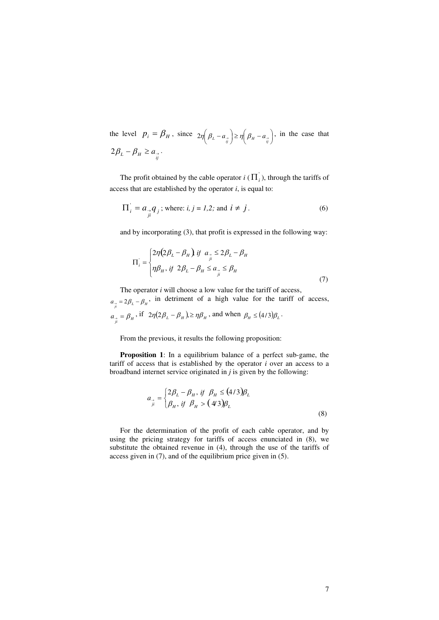the level  $p_i = \beta_H$ , since  $2\eta \left(\beta_L - a_{\frac{1}{ij}}\right) \ge \eta \left(\beta_H - a_{\frac{1}{ij}}\right)$  $\left(\beta_{H}-a_{\overrightarrow{i}}\right)$  $\bigg) \geq \eta \bigg( \beta_H \left(\beta_L-a_{\overrightarrow{i}}\right)$  $2\eta \left(\beta_L - a_{\overrightarrow{i}}\right) \ge \eta \left(\beta_H - a_{\overrightarrow{i}}\right)$ , in the case that  $2\beta_L - \beta_H \ge a_{\frac{\gamma}{ij}}$ .

The profit obtained by the cable operator  $i(\Pi_i)$ , through the tariffs of access that are established by the operator *i*, is equal to:

$$
\Pi_i^{\dagger} = a_{\underset{j}{\rightarrow}} q_j \text{ ; where: } i, j = 1, 2; \text{ and } i \neq j.
$$
 (6)

and by incorporating (3), that profit is expressed in the following way:

$$
\Pi_i = \begin{cases} 2\eta \left(2\beta_L - \beta_H\right) & \text{if } a_{\frac{\gamma}{\mu}} \le 2\beta_L - \beta_H \\ \eta \beta_H & \text{if } 2\beta_L - \beta_H \le a_{\frac{\gamma}{\mu}} \le \beta_H \end{cases} \tag{7}
$$

The operator *i* will choose a low value for the tariff of access,

 $a_{\hat{i}} = 2\beta_L - \beta_H$ , in detriment of a high value for the tariff of access,  $a_{\hat{i}} = \beta_H$ , if  $2\eta(2\beta_L - \beta_H) \ge \eta \beta_H$ , and when  $\beta_H \le (4/3)\beta_L$ .

From the previous, it results the following proposition:

**Proposition 1**: In a equilibrium balance of a perfect sub-game, the tariff of access that is established by the operator *i* over an access to a broadband internet service originated in *j* is given by the following:

$$
a_{\rightarrow} = \begin{cases} 2\beta_L - \beta_H, & \text{if } \beta_H \le (4/3)\beta_L \\ \beta_H, & \text{if } \beta_H > (4/3)\beta_L \end{cases}
$$
(8)

For the determination of the profit of each cable operator, and by using the pricing strategy for tariffs of access enunciated in (8), we substitute the obtained revenue in (4), through the use of the tariffs of access given in (7), and of the equilibrium price given in (5).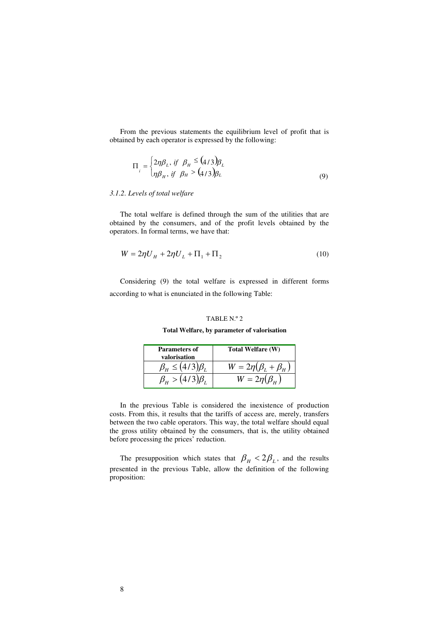From the previous statements the equilibrium level of profit that is obtained by each operator is expressed by the following:

$$
\Pi_{i} = \begin{cases} 2\eta \beta_{L}, & \text{if } \beta_{H} \leq (4/3)\beta_{L} \\ \eta \beta_{H}, & \text{if } \beta_{H} > (4/3)\beta_{L} \end{cases}
$$
(9)

## *3.1.2. Levels of total welfare*

The total welfare is defined through the sum of the utilities that are obtained by the consumers, and of the profit levels obtained by the operators. In formal terms, we have that:

$$
W = 2\eta U_{H} + 2\eta U_{L} + \Pi_{1} + \Pi_{2}
$$
\n(10)

Considering (9) the total welfare is expressed in different forms according to what is enunciated in the following Table:

## TABLE N.º 2

**Total Welfare, by parameter of valorisation**

| <b>Parameters of</b><br>valorisation    | Total Welfare (W)              |
|-----------------------------------------|--------------------------------|
| $\beta_{\rm H} \leq (4/3)\beta_{\rm L}$ | $W = 2\eta(\beta_L + \beta_H)$ |
| $\beta_{\rm H} > (4/3)\beta_{\rm L}$    | $W = 2\eta(\beta_H)$           |

In the previous Table is considered the inexistence of production costs. From this, it results that the tariffs of access are, merely, transfers between the two cable operators. This way, the total welfare should equal the gross utility obtained by the consumers, that is, the utility obtained before processing the prices' reduction.

The presupposition which states that  $\beta_H < 2\beta_L$ , and the results presented in the previous Table, allow the definition of the following proposition: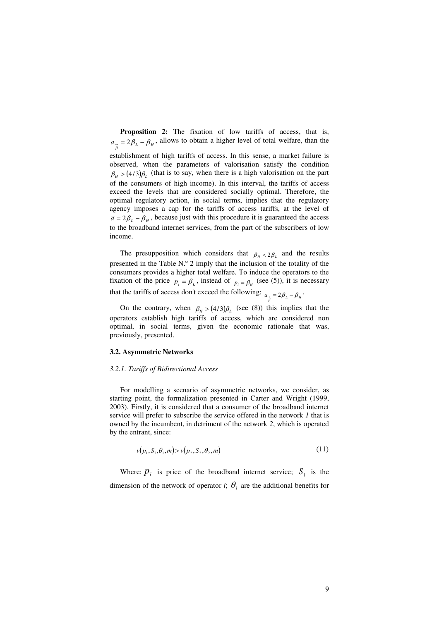**Proposition 2:** The fixation of low tariffs of access, that is,  $a_{\hat{i}} = 2\beta_L - \beta_H$ , allows to obtain a higher level of total welfare, than the establishment of high tariffs of access. In this sense, a market failure is observed, when the parameters of valorisation satisfy the condition  $\beta_H > (4/3)\beta_L$  (that is to say, when there is a high valorisation on the part of the consumers of high income). In this interval, the tariffs of access exceed the levels that are considered socially optimal. Therefore, the optimal regulatory action, in social terms, implies that the regulatory agency imposes a cap for the tariffs of access tariffs, at the level of  $\bar{a} = 2\beta_L - \beta_H$ , because just with this procedure it is guaranteed the access to the broadband internet services, from the part of the subscribers of low income.

The presupposition which considers that  $\beta_{\mu} < 2\beta_{\mu}$  and the results presented in the Table N.º 2 imply that the inclusion of the totality of the consumers provides a higher total welfare. To induce the operators to the fixation of the price  $p_i = \beta_L$ , instead of  $p_i = \beta_H$  (see (5)), it is necessary that the tariffs of access don't exceed the following:  $a_{\hat{i}} = 2\beta_L - \beta_H$ .

On the contrary, when  $\beta_H > (4/3)\beta_L$  (see (8)) this implies that the operators establish high tariffs of access, which are considered non optimal, in social terms, given the economic rationale that was, previously, presented.

## **3.2. Asymmetric Networks**

## *3.2.1. Tariffs of Bidirectional Access*

For modelling a scenario of asymmetric networks, we consider, as starting point, the formalization presented in Carter and Wright (1999, 2003). Firstly, it is considered that a consumer of the broadband internet service will prefer to subscribe the service offered in the network *1* that is owned by the incumbent, in detriment of the network *2*, which is operated by the entrant, since:

$$
v(p_1, S_1, \theta_1, m) > v(p_2, S_2, \theta_2, m) \tag{11}
$$

Where:  $p_i$  is price of the broadband internet service;  $S_i$  is the dimension of the network of operator *i*;  $\theta_i$  are the additional benefits for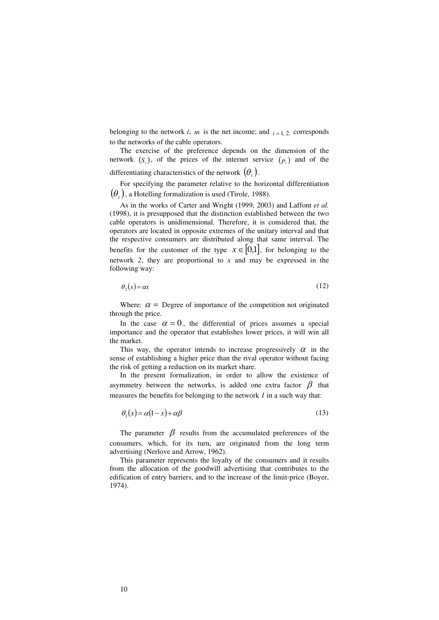belonging to the network *i*; *m* is the net income; and  $i = 1, 2$ , corresponds to the networks of the cable operators.

The exercise of the preference depends on the dimension of the network  $(S_i)$ , of the prices of the internet service  $(p_i)$  and of the differentiating characteristics of the network  $(\theta_i)$ .

For specifying the parameter relative to the horizontal differentiation  $\left(\theta_i\right)$ , a Hotelling formalization is used (Tirole, 1988).

As in the works of Carter and Wright (1999, 2003) and Laffont *et al.*  (1998), it is presupposed that the distinction established between the two cable operators is unidimensional. Therefore, it is considered that, the operators are located in opposite extremes of the unitary interval and that the respective consumers are distributed along that same interval. The benefits for the customer of the type  $x \in [0,1]$ , for belonging to the network *2*, they are proportional to *x* and may be expressed in the following way:

$$
\theta_2(x) = \alpha x \tag{12}
$$

Where:  $\alpha$  = Degree of importance of the competition not originated through the price.

In the case  $\alpha = 0$ , the differential of prices assumes a special importance and the operator that establishes lower prices, it will win all the market.

This way, the operator intends to increase progressively  $\alpha$  in the sense of establishing a higher price than the rival operator without facing the risk of getting a reduction on its market share.

In the present formalization, in order to allow the existence of asymmetry between the networks, is added one extra factor  $\beta$  that measures the benefits for belonging to the network *1* in a such way that:

$$
\theta_1(x) = \alpha(1-x) + \alpha\beta \tag{13}
$$

The parameter  $\beta$  results from the accumulated preferences of the consumers, which, for its turn, are originated from the long term advertising (Nerlove and Arrow, 1962).

This parameter represents the loyalty of the consumers and it results from the allocation of the goodwill advertising that contributes to the edification of entry barriers, and to the increase of the limit-price (Boyer, 1974).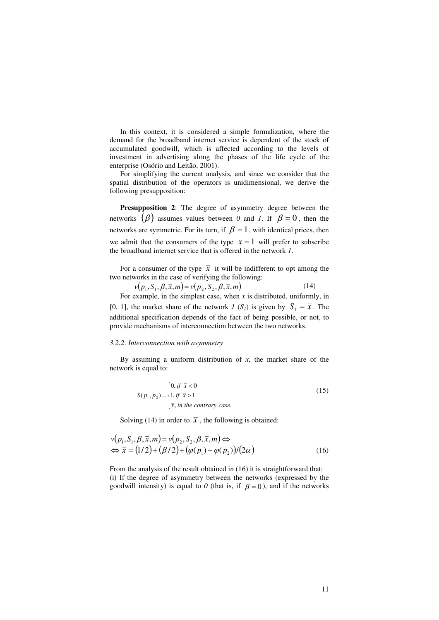In this context, it is considered a simple formalization, where the demand for the broadband internet service is dependent of the stock of accumulated goodwill, which is affected according to the levels of investment in advertising along the phases of the life cycle of the enterprise (Osório and Leitão, 2001).

For simplifying the current analysis, and since we consider that the spatial distribution of the operators is unidimensional, we derive the following presupposition:

**Presupposition 2**: The degree of asymmetry degree between the networks  $(\beta)$  assumes values between 0 and 1. If  $\beta = 0$ , then the networks are symmetric. For its turn, if  $\beta = 1$ , with identical prices, then we admit that the consumers of the type  $x = 1$  will prefer to subscribe the broadband internet service that is offered in the network *1*.

For a consumer of the type  $\overline{x}$  it will be indifferent to opt among the two networks in the case of verifying the following:

$$
v(p_1, S_1, \beta, \overline{x}, m) = v(p_2, S_2, \beta, \overline{x}, m)
$$
\n(14)

For example, in the simplest case, when  $x$  is distributed, uniformly, in [0, 1], the market share of the network *1* (*S<sub>1</sub>*) is given by  $S_1 = \overline{x}$ . The additional specification depends of the fact of being possible, or not, to provide mechanisms of interconnection between the two networks.

#### *3.2.2. Interconnection with asymmetry*

By assuming a uniform distribution of  $x$ , the market share of the network is equal to:

$$
S(p_1, p_2) = \begin{cases} 0, & \text{if } \bar{x} < 0 \\ 1, & \text{if } \bar{x} > 1 \\ \bar{x}, & \text{in the contrary case.} \end{cases}
$$
 (15)

Solving (14) in order to  $\bar{x}$ , the following is obtained:

$$
v(p_1, S_1, \beta, \overline{x}, m) = v(p_2, S_2, \beta, \overline{x}, m) \Leftrightarrow \n\Leftrightarrow \overline{x} = (1/2) + (\beta/2) + (\varphi(p_1) - \varphi(p_2))/(2\alpha)
$$
\n(16)

From the analysis of the result obtained in (16) it is straightforward that: (i) If the degree of asymmetry between the networks (expressed by the goodwill intensity) is equal to  $\theta$  (that is, if  $\beta = 0$ ), and if the networks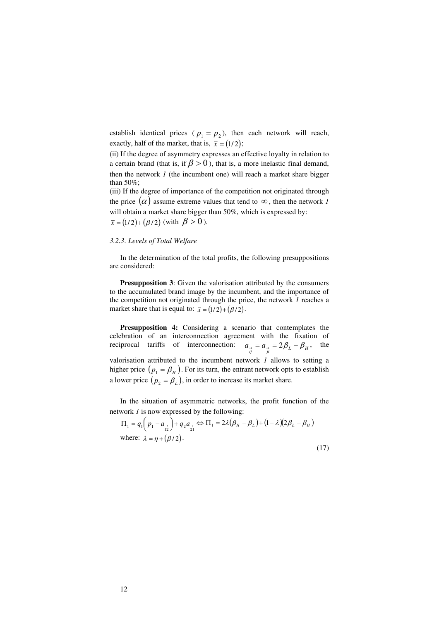establish identical prices ( $p_1 = p_2$ ), then each network will reach, exactly, half of the market, that is,  $\bar{x} = (1/2)$ ;

(ii) If the degree of asymmetry expresses an effective loyalty in relation to a certain brand (that is, if  $\beta > 0$ ), that is, a more inelastic final demand, then the network *1* (the incumbent one) will reach a market share bigger than 50%;

(iii) If the degree of importance of the competition not originated through the price  $(\alpha)$  assume extreme values that tend to  $\infty$ , then the network *1* will obtain a market share bigger than 50%, which is expressed by:  $\bar{x} = (1/2) + (\beta/2)$  (with  $\beta > 0$ ).

## *3.2.3. Levels of Total Welfare*

In the determination of the total profits, the following presuppositions are considered:

**Presupposition 3**: Given the valorisation attributed by the consumers to the accumulated brand image by the incumbent, and the importance of the competition not originated through the price, the network *1* reaches a market share that is equal to:  $\bar{x} = (1/2) + (\beta/2)$ .

**Presupposition 4:** Considering a scenario that contemplates the celebration of an interconnection agreement with the fixation of reciprocal tariffs of interconnection:  $a_{\alpha} = a_{\beta} = 2\beta_L - \beta_H$ , the valorisation attributed to the incumbent network *1* allows to setting a higher price  $(p_1 = \beta_H)$ . For its turn, the entrant network opts to establish a lower price  $(p_2 = \beta_L)$ , in order to increase its market share.

In the situation of asymmetric networks, the profit function of the network *1* is now expressed by the following:

$$
\Pi_1 = q_1 \left( p_1 - a_{\underset{12}{\cdot}} \right) + q_2 a_{\underset{21}{\cdot}} \Leftrightarrow \Pi_1 = 2\lambda \left( \beta_H - \beta_L \right) + \left( 1 - \lambda \right) \left( 2\beta_L - \beta_H \right)
$$
\nwhere:

\n
$$
\lambda = \eta + \left( \beta / 2 \right).
$$
\n(17)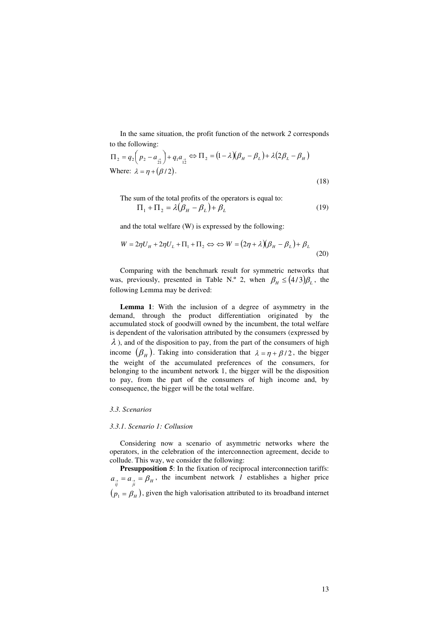In the same situation, the profit function of the network *2* corresponds to the following:

$$
\Pi_2 = q_2 \left( p_2 - a_{\frac{2}{21}} \right) + q_1 a_{\frac{2}{12}} \Leftrightarrow \Pi_2 = (1 - \lambda)(\beta_H - \beta_L) + \lambda(2\beta_L - \beta_H)
$$
  
Where:  $\lambda = \eta + (\beta/2)$ . (18)

The sum of the total profits of the operators is equal to:  
\n
$$
\Pi_1 + \Pi_2 = \lambda (\beta_H - \beta_L) + \beta_L
$$
\n(19)

and the total welfare (W) is expressed by the following:

$$
W = 2\eta U_H + 2\eta U_L + \Pi_1 + \Pi_2 \Leftrightarrow W = (2\eta + \lambda)(\beta_H - \beta_L) + \beta_L
$$
\n(20)

Comparing with the benchmark result for symmetric networks that was, previously, presented in Table N.<sup>o</sup> 2, when  $\beta_H \leq (4/3)\beta_L$ , the following Lemma may be derived:

**Lemma 1**: With the inclusion of a degree of asymmetry in the demand, through the product differentiation originated by the accumulated stock of goodwill owned by the incumbent, the total welfare is dependent of the valorisation attributed by the consumers (expressed by  $\lambda$ ), and of the disposition to pay, from the part of the consumers of high income  $(\beta_H)$ . Taking into consideration that  $\lambda = \eta + \beta/2$ , the bigger the weight of the accumulated preferences of the consumers, for belonging to the incumbent network 1, the bigger will be the disposition to pay, from the part of the consumers of high income and, by consequence, the bigger will be the total welfare.

## *3.3. Scenarios*

## *3.3.1. Scenario 1: Collusion*

Considering now a scenario of asymmetric networks where the operators, in the celebration of the interconnection agreement, decide to collude. This way, we consider the following:

**Presupposition 5**: In the fixation of reciprocal interconnection tariffs:  $a_{\vec{i}} = a_{\vec{j}} = \beta_H$ , the incumbent network *1* establishes a higher price  $(p_1 = \beta_H)$ , given the high valorisation attributed to its broadband internet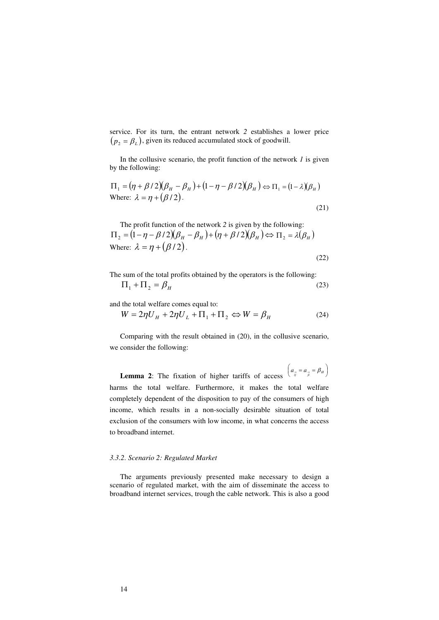service. For its turn, the entrant network *2* establishes a lower price  $(p_2 = \beta_L)$ , given its reduced accumulated stock of goodwill.

In the collusive scenario, the profit function of the network *1* is given by the following:

$$
\Pi_1 = (\eta + \beta/2)(\beta_H - \beta_H) + (1 - \eta - \beta/2)(\beta_H) \Leftrightarrow \Pi_1 = (1 - \lambda)(\beta_H)
$$
  
Where:  $\lambda = \eta + (\beta/2)$ . (21)

The profit function of the network *2* is given by the following:  $\Pi_2 = (1 - \eta - \beta/2)(\beta_H - \beta_H) + (\eta + \beta/2)(\beta_H) \Leftrightarrow \Pi_2 = \lambda(\beta_H)$ Where:  $\lambda = n + (\beta/2)$ .

(22)

The sum of the total profits obtained by the operators is the following:  $\Pi_1 + \Pi_2 = \beta_H$ (23)

and the total welfare comes equal to:

$$
W = 2\eta U_H + 2\eta U_L + \Pi_1 + \Pi_2 \Leftrightarrow W = \beta_H \tag{24}
$$

Comparing with the result obtained in (20), in the collusive scenario, we consider the following:

**Lemma 2**: The fixation of higher tariffs of access  $\begin{pmatrix} a_{\vec{i}} = a_{\vec{j}} = \beta_H \end{pmatrix}$  $\left(a_{\overrightarrow{i}}=a_{\overrightarrow{j}}=\beta_{H}\right)$  $\left(a_{\alpha}^{\prime} = a_{\alpha}^{\prime} = \beta_H\right)$ harms the total welfare. Furthermore, it makes the total welfare completely dependent of the disposition to pay of the consumers of high income, which results in a non-socially desirable situation of total exclusion of the consumers with low income, in what concerns the access to broadband internet.

## *3.3.2. Scenario 2: Regulated Market*

The arguments previously presented make necessary to design a scenario of regulated market, with the aim of disseminate the access to broadband internet services, trough the cable network. This is also a good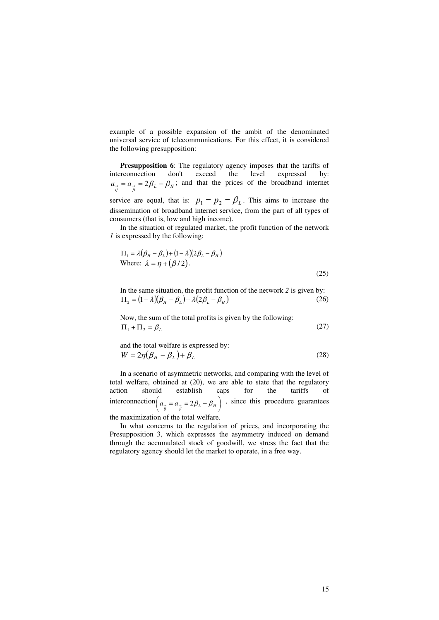example of a possible expansion of the ambit of the denominated universal service of telecommunications. For this effect, it is considered the following presupposition:

**Presupposition 6**: The regulatory agency imposes that the tariffs of interconnection don't exceed the level expressed by: interconnection don't exceed the level expressed by:  $a_{\alpha} = a_{\beta} = 2\beta_L - \beta_H$ ; and that the prices of the broadband internet service are equal, that is:  $p_1 = p_2 = \beta_L$ . This aims to increase the

dissemination of broadband internet service, from the part of all types of consumers (that is, low and high income).

In the situation of regulated market, the profit function of the network *1* is expressed by the following:

$$
\Pi_1 = \lambda (\beta_H - \beta_L) + (1 - \lambda)(2\beta_L - \beta_H)
$$
  
Where:  $\lambda = \eta + (\beta/2)$ . (25)

In the same situation, the profit function of the network *2* is given by:  $\Pi_2 = (1 - \lambda)(\beta_H - \beta_L) + \lambda(2\beta_L - \beta_H)$ (26)

Now, the sum of the total profits is given by the following:  
\n
$$
\Pi_1 + \Pi_2 = \beta_L
$$
\n(27)

and the total welfare is expressed by:  
\n
$$
W = 2\eta \left(\beta_H - \beta_L\right) + \beta_L
$$
\n(28)

In a scenario of asymmetric networks, and comparing with the level of total welfare, obtained at (20), we are able to state that the regulatory<br>action should establish caps for the tariffs of action should establish caps for the tariffs of interconnection $\left(a_{\frac{3}{i j}} = a_{\frac{3}{j i}} = 2\beta_L - \beta_H\right)$  $\left(a_{\vec{i}} = a_{\vec{j}} = 2\beta_L - \beta_H\right)$  $\left(a_{\frac{1}{i}i} = a_{\frac{1}{i}i} = 2\beta_L - \beta_H\right)$ , since this procedure guarantees

the maximization of the total welfare.

In what concerns to the regulation of prices, and incorporating the Presupposition 3, which expresses the asymmetry induced on demand through the accumulated stock of goodwill, we stress the fact that the regulatory agency should let the market to operate, in a free way.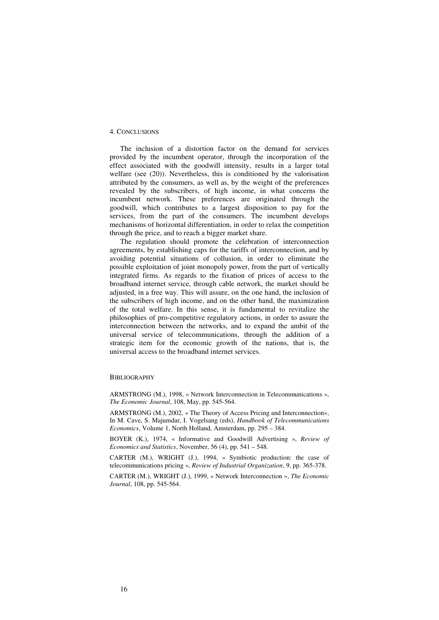## 4. CONCLUSIONS

The inclusion of a distortion factor on the demand for services provided by the incumbent operator, through the incorporation of the effect associated with the goodwill intensity, results in a larger total welfare (see (20)). Nevertheless, this is conditioned by the valorisation attributed by the consumers, as well as, by the weight of the preferences revealed by the subscribers, of high income, in what concerns the incumbent network. These preferences are originated through the goodwill, which contributes to a largest disposition to pay for the services, from the part of the consumers. The incumbent develops mechanisms of horizontal differentiation, in order to relax the competition through the price, and to reach a bigger market share.

The regulation should promote the celebration of interconnection agreements, by establishing caps for the tariffs of interconnection, and by avoiding potential situations of collusion, in order to eliminate the possible exploitation of joint monopoly power, from the part of vertically integrated firms. As regards to the fixation of prices of access to the broadband internet service, through cable network, the market should be adjusted, in a free way. This will assure, on the one hand, the inclusion of the subscribers of high income, and on the other hand, the maximization of the total welfare. In this sense, it is fundamental to revitalize the philosophies of pro-competitive regulatory actions, in order to assure the interconnection between the networks, and to expand the ambit of the universal service of telecommunications, through the addition of a strategic item for the economic growth of the nations, that is, the universal access to the broadband internet services.

#### BIBLIOGRAPHY

ARMSTRONG (M.), 1998, « Network Interconnection in Telecommunications », *The Economic Journal*, 108, May, pp. 545-564.

ARMSTRONG (M.), 2002, « The Theory of Access Pricing and Interconnection», In M. Cave, S. Majumdar, I. Vogelsang (eds), *Handbook of Telecommunications Economics*, Volume 1, North Holland, Amsterdam, pp. 295 – 384.

BOYER (K.), 1974, « Informative and Goodwill Advertising », *Review of Economics and Statistics*, November, 56 (4), pp. 541 – 548.

CARTER (M.), WRIGHT (J.), 1994, « Symbiotic production: the case of telecommunications pricing », *Review of Industrial Organization*, 9, pp. 365-378.

CARTER (M.), WRIGHT (J.), 1999, « Network Interconnection », *The Economic Journal*, 108, pp. 545-564.